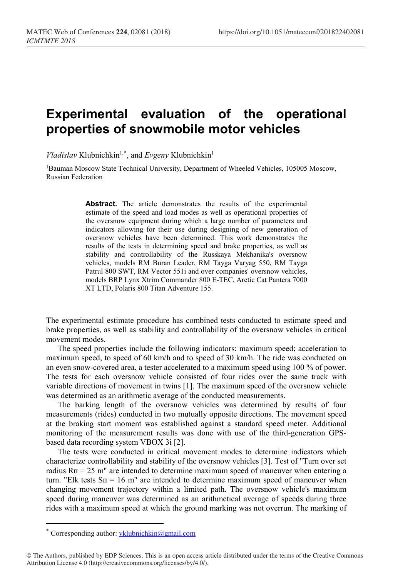## **Experimental evaluation of the operational properties of snowmobile motor vehicles**

*Vladislav* Klubnichkin<sup>1,[\\*](#page-0-0)</sup>, and *Evgeny* Klubnichkin<sup>1</sup>

1Bauman Moscow State Technical University, Department of Wheeled Vehicles, 105005 Moscow, Russian Federation

> Abstract. The article demonstrates the results of the experimental estimate of the speed and load modes as well as operational properties of the oversnow equipment during which a large number of parameters and indicators allowing for their use during designing of new generation of oversnow vehicles have been determined. This work demonstrates the results of the tests in determining speed and brake properties, as well as stability and controllability of the Russkaya Mekhanika's oversnow vehicles, models RM Buran Leader, RM Tayga Varyag 550, RM Tayga Patrul 800 SWT, RM Vector 551i and over companies' oversnow vehicles, models BRP Lynx Xtrim Commander 800 E-TEC, Arctic Cat Pantera 7000 XT LTD, Polaris 800 Titan Adventure 155.

The experimental estimate procedure has combined tests conducted to estimate speed and brake properties, as well as stability and controllability of the oversnow vehicles in critical movement modes.

The speed properties include the following indicators: maximum speed; acceleration to maximum speed, to speed of 60 km/h and to speed of 30 km/h. The ride was conducted on an even snow-covered area, a tester accelerated to a maximum speed using 100 % of power. The tests for each oversnow vehicle consisted of four rides over the same track with variable directions of movement in twins [1]. The maximum speed of the oversnow vehicle was determined as an arithmetic average of the conducted measurements.

The barking length of the oversnow vehicles was determined by results of four measurements (rides) conducted in two mutually opposite directions. The movement speed at the braking start moment was established against a standard speed meter. Additional monitoring of the measurement results was done with use of the third-generation GPSbased data recording system VBOX 3i [2].

The tests were conducted in critical movement modes to determine indicators which characterize controllability and stability of the oversnow vehicles [3]. Test of "Turn over set radius  $Rn = 25$  m" are intended to determine maximum speed of maneuver when entering a turn. "Elk tests  $Sn = 16$  m" are intended to determine maximum speed of maneuver when changing movement trajectory within a limited path. The oversnow vehicle's maximum speed during maneuver was determined as an arithmetical average of speeds during three rides with a maximum speed at which the ground marking was not overrun. The marking of

 $\overline{a}$ 

<sup>\*</sup> Corresponding author:  $vklubnichkin@gmail.com$ 

<span id="page-0-0"></span><sup>©</sup> The Authors, published by EDP Sciences. This is an open access article distributed under the terms of the Creative Commons Attribution License 4.0 (http://creativecommons.org/licenses/by/4.0/).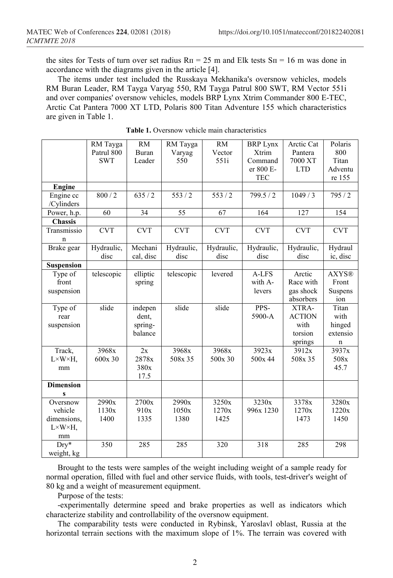the sites for Tests of turn over set radius  $R\pi = 25$  m and Elk tests  $S\pi = 16$  m was done in accordance with the diagrams given in the article [4].

The items under test included the Russkaya Mekhanika's oversnow vehicles, models RM Buran Leader, RM Tayga Varyag 550, RM Tayga Patrul 800 SWT, RM Vector 551i and over companies' oversnow vehicles, models BRP Lynx Xtrim Commander 800 E-TEC, Arctic Cat Pantera 7000 XT LTD, Polaris 800 Titan Adventure 155 which characteristics are given in Table 1.

|                                                                     | RM Tayga<br>Patrul 800<br><b>SWT</b> | <b>RM</b><br>Buran<br>Leader           | RM Tayga<br>Varyag<br>550 | <b>RM</b><br>Vector<br>551i | <b>BRP Lynx</b><br>Xtrim<br>Command<br>er 800 E- | Arctic Cat<br>Pantera<br>7000 XT<br><b>LTD</b>       | Polaris<br>800<br>Titan<br>Adventu       |
|---------------------------------------------------------------------|--------------------------------------|----------------------------------------|---------------------------|-----------------------------|--------------------------------------------------|------------------------------------------------------|------------------------------------------|
|                                                                     |                                      |                                        |                           |                             | <b>TEC</b>                                       |                                                      | re 155                                   |
| Engine                                                              |                                      |                                        |                           |                             |                                                  |                                                      |                                          |
| Engine cc<br>/Cylinders                                             | 800/2                                | $\frac{1}{635}$ / 2                    | 553/2                     | 553/2                       | 799.5/2                                          | 1049/3                                               | 795/2                                    |
| Power, h.p.                                                         | 60                                   | 34                                     | 55                        | 67                          | 164                                              | 127                                                  | 154                                      |
| <b>Chassis</b>                                                      |                                      |                                        |                           |                             |                                                  |                                                      |                                          |
| Transmissio<br>$\mathbf n$                                          | <b>CVT</b>                           | <b>CVT</b>                             | <b>CVT</b>                | <b>CVT</b>                  | <b>CVT</b>                                       | <b>CVT</b>                                           | <b>CVT</b>                               |
| Brake gear                                                          | Hydraulic,<br>disc                   | Mechani<br>cal, disc                   | Hydraulic,<br>disc        | Hydraulic,<br>disc          | Hydraulic,<br>disc                               | Hydraulic,<br>disc                                   | Hydraul<br>ic, disc                      |
| <b>Suspension</b>                                                   |                                      |                                        |                           |                             |                                                  |                                                      |                                          |
| Type of<br>front<br>suspension                                      | telescopic                           | elliptic<br>spring                     | telescopic                | levered                     | A-LFS<br>with A-<br>levers                       | Arctic<br>Race with<br>gas shock<br>absorbers        | <b>AXYS®</b><br>Front<br>Suspens<br>ion  |
| Type of<br>rear<br>suspension                                       | slide                                | indepen<br>dent,<br>spring-<br>balance | slide                     | slide                       | PPS-<br>5900-A                                   | XTRA-<br><b>ACTION</b><br>with<br>torsion<br>springs | Titan<br>with<br>hinged<br>extensio<br>n |
| Track,<br>$L \times W \times H$ ,<br>mm                             | 3968x<br>600x 30                     | 2x<br>2878x<br>380x<br>17.5            | 3968x<br>508x 35          | 3968x<br>500x 30            | 3923x<br>500x 44                                 | 3912x<br>508x 35                                     | 3937x<br>508x<br>45.7                    |
| <b>Dimension</b><br>S                                               |                                      |                                        |                           |                             |                                                  |                                                      |                                          |
| Oversnow<br>vehicle<br>dimensions,<br>$L \times W \times H$ ,<br>mm | 2990x<br>1130x<br>1400               | 2700x<br>910x<br>1335                  | 2990x<br>1050x<br>1380    | 3250x<br>1270x<br>1425      | 3230x<br>996x 1230                               | 3378x<br>1270x<br>1473                               | 3280x<br>1220x<br>1450                   |
| $Dry*$<br>weight, kg                                                | 350                                  | 285                                    | 285                       | 320                         | 318                                              | 285                                                  | 298                                      |

**Table 1.** Oversnow vehicle main characteristics

Brought to the tests were samples of the weight including weight of a sample ready for normal operation, filled with fuel and other service fluids, with tools, test-driver's weight of 80 kg and a weight of measurement equipment.

Purpose of the tests:

-experimentally determine speed and brake properties as well as indicators which characterize stability and controllability of the oversnow equipment.

The comparability tests were conducted in Rybinsk, Yaroslavl oblast, Russia at the horizontal terrain sections with the maximum slope of 1%. The terrain was covered with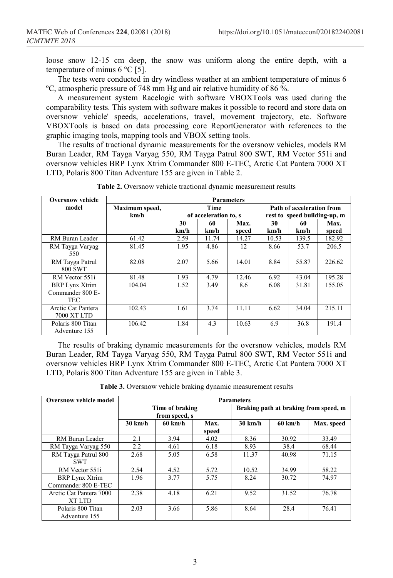loose snow 12-15 cm deep, the snow was uniform along the entire depth, with a temperature of minus 6 °С [5].

The tests were conducted in dry windless weather at an ambient temperature of minus 6 ºС, atmospheric pressure of 748 mm Hg and air relative humidity of 86 %.

A measurement system Racelogic with software VBOXTools was used during the comparability tests. This system with software makes it possible to record and store data on oversnow vehicle' speeds, accelerations, travel, movement trajectory, etc. Software VBOXTools is based on data processing core ReportGenerator with references to the graphic imaging tools, mapping tools and VBOX setting tools.

The results of tractional dynamic measurements for the oversnow vehicles, models RM Buran Leader, RM Tayga Varyag 550, RM Tayga Patrul 800 SWT, RM Vector 551i and oversnow vehicles BRP Lynx Xtrim Commander 800 E-TEC, Arctic Cat Pantera 7000 XT LTD, Polaris 800 Titan Adventure 155 are given in Table 2.

| <b>Oversnow vehicle</b>                                 | <b>Parameters</b>      |                                      |            |               |                                                           |            |               |
|---------------------------------------------------------|------------------------|--------------------------------------|------------|---------------|-----------------------------------------------------------|------------|---------------|
| model                                                   | Maximum speed,<br>km/h | <b>Time</b><br>of acceleration to, s |            |               | Path of acceleration from<br>rest to speed building-up, m |            |               |
|                                                         |                        | 30<br>km/h                           | 60<br>km/h | Max.<br>speed | 30<br>km/h                                                | 60<br>km/h | Max.<br>speed |
| RM Buran Leader                                         | 61.42                  | 2.59                                 | 11.74      | 14.27         | 10.53                                                     | 139.5      | 182.92        |
| RM Tayga Varyag<br>550                                  | 81.45                  | 1.95                                 | 4.86       | 12            | 8.66                                                      | 53.7       | 206.5         |
| RM Tayga Patrul<br>800 SWT                              | 82.08                  | 2.07                                 | 5.66       | 14.01         | 8.84                                                      | 55.87      | 226.62        |
| RM Vector 551i                                          | 81.48                  | 1.93                                 | 4.79       | 12.46         | 6.92                                                      | 43.04      | 195.28        |
| <b>BRP Lynx Xtrim</b><br>Commander 800 E-<br><b>TEC</b> | 104.04                 | 1.52                                 | 3.49       | 8.6           | 6.08                                                      | 31.81      | 155.05        |
| Arctic Cat Pantera<br>7000 XT LTD                       | 102.43                 | 1.61                                 | 3.74       | 11.11         | 6.62                                                      | 34.04      | 215.11        |
| Polaris 800 Titan<br>Adventure 155                      | 106.42                 | 1.84                                 | 4.3        | 10.63         | 6.9                                                       | 36.8       | 191.4         |

**Table 2.** Oversnow vehicle tractional dynamic measurement results

The results of braking dynamic measurements for the oversnow vehicles, models RM Buran Leader, RM Tayga Varyag 550, RM Tayga Patrul 800 SWT, RM Vector 551i and oversnow vehicles BRP Lynx Xtrim Commander 800 E-TEC, Arctic Cat Pantera 7000 XT LTD, Polaris 800 Titan Adventure 155 are given in Table 3.

**Table 3.** Oversnow vehicle braking dynamic measurement results

| <b>Oversnow vehicle model</b> | <b>Parameters</b> |                   |                                       |                   |                   |            |
|-------------------------------|-------------------|-------------------|---------------------------------------|-------------------|-------------------|------------|
|                               | Time of braking   |                   | Braking path at braking from speed, m |                   |                   |            |
|                               |                   | from speed, s     |                                       |                   |                   |            |
|                               | $30 \text{ km/h}$ | $60 \text{ km/h}$ | Max.                                  | $30 \text{ km/h}$ | $60 \text{ km/h}$ | Max. speed |
|                               |                   |                   | speed                                 |                   |                   |            |
| RM Buran Leader               | 2.1               | 3.94              | 4.02                                  | 8.36              | 30.92             | 33.49      |
| RM Tayga Varyag 550           | 2.2               | 4.61              | 6.18                                  | 8.93              | 38.4              | 68.44      |
| RM Tayga Patrul 800           | 2.68              | 5.05              | 6.58                                  | 11.37             | 40.98             | 71.15      |
| <b>SWT</b>                    |                   |                   |                                       |                   |                   |            |
| RM Vector 551i                | 2.54              | 4.52              | 5.72                                  | 10.52             | 34.99             | 58.22      |
| <b>BRP Lynx Xtrim</b>         | 1.96              | 3.77              | 5.75                                  | 8.24              | 30.72             | 74.97      |
| Commander 800 E-TEC           |                   |                   |                                       |                   |                   |            |
| Arctic Cat Pantera 7000       | 2.38              | 4.18              | 6.21                                  | 9.52              | 31.52             | 76.78      |
| XT LTD                        |                   |                   |                                       |                   |                   |            |
| Polaris 800 Titan             | 2.03              | 3.66              | 5.86                                  | 8.64              | 28.4              | 76.41      |
| Adventure 155                 |                   |                   |                                       |                   |                   |            |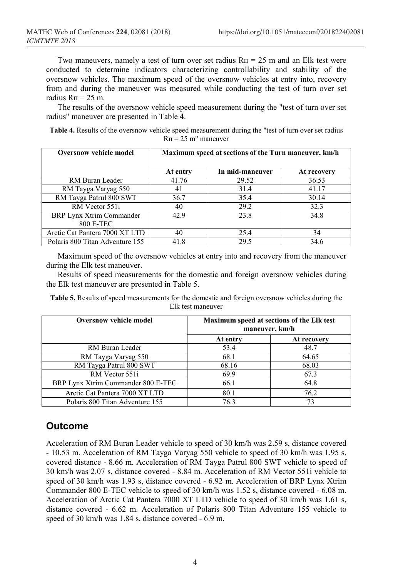Two maneuvers, namely a test of turn over set radius  $R_{\text{II}} = 25$  m and an Elk test were conducted to determine indicators characterizing controllability and stability of the oversnow vehicles. The maximum speed of the oversnow vehicles at entry into, recovery from and during the maneuver was measured while conducting the test of turn over set radius  $R_{\Pi} = 25$  m.

The results of the oversnow vehicle speed measurement during the "test of turn over set radius" maneuver are presented in Table 4.

**Table 4.** Results of the oversnow vehicle speed measurement during the "test of turn over set radius  $R_{\Pi}$  = 25 m" maneuver

| <b>Oversnow vehicle model</b>   | Maximum speed at sections of the Turn maneuver, km/h |                 |             |  |  |
|---------------------------------|------------------------------------------------------|-----------------|-------------|--|--|
|                                 | At entry                                             | In mid-maneuver | At recovery |  |  |
| RM Buran Leader                 | 41.76                                                | 29.52           | 36.53       |  |  |
| RM Tayga Varyag 550             | 41                                                   | 31.4            | 41.17       |  |  |
| RM Tayga Patrul 800 SWT         | 36.7                                                 | 35.4            | 30.14       |  |  |
| RM Vector 551i                  | 40                                                   | 29.2            | 32.3        |  |  |
| BRP Lynx Xtrim Commander        | 42.9                                                 | 23.8            | 34.8        |  |  |
| 800 E-TEC                       |                                                      |                 |             |  |  |
| Arctic Cat Pantera 7000 XT LTD  | 40                                                   | 25.4            | 34          |  |  |
| Polaris 800 Titan Adventure 155 | 41.8                                                 | 29.5            | 34.6        |  |  |

Maximum speed of the oversnow vehicles at entry into and recovery from the maneuver during the Elk test maneuver.

Results of speed measurements for the domestic and foreign oversnow vehicles during the Elk test maneuver are presented in Table 5.

**Table 5.** Results of speed measurements for the domestic and foreign oversnow vehicles during the Elk test maneuver

| <b>Oversnow vehicle model</b>      | Maximum speed at sections of the Elk test<br>maneuver, km/h |             |
|------------------------------------|-------------------------------------------------------------|-------------|
|                                    | At entry                                                    | At recovery |
| RM Buran Leader                    | 53.4                                                        | 48.7        |
| RM Tayga Varyag 550                | 68.1                                                        | 64.65       |
| RM Tayga Patrul 800 SWT            | 68.16                                                       | 68.03       |
| RM Vector 551i                     | 69.9                                                        | 67.3        |
| BRP Lynx Xtrim Commander 800 E-TEC | 66.1                                                        | 64.8        |
| Arctic Cat Pantera 7000 XT LTD     | 80.1                                                        | 76.2        |
| Polaris 800 Titan Adventure 155    | 76.3                                                        | 73          |

## **Outcome**

Acceleration of RM Buran Leader vehicle to speed of 30 km/h was 2.59 s, distance covered - 10.53 m. Acceleration of RM Tayga Varyag 550 vehicle to speed of 30 km/h was 1.95 s, covered distance - 8.66 m. Acceleration of RM Tayga Patrul 800 SWT vehicle to speed of 30 km/h was 2.07 s, distance covered - 8.84 m. Acceleration of RM Vector 551i vehicle to speed of 30 km/h was 1.93 s, distance covered - 6.92 m. Acceleration of BRP Lynx Xtrim Commander 800 E-TEC vehicle to speed of 30 km/h was 1.52 s, distance covered - 6.08 m. Acceleration of Arctic Cat Pantera 7000 XT LTD vehicle to speed of 30 km/h was 1.61 s, distance covered - 6.62 m. Acceleration of Polaris 800 Titan Adventure 155 vehicle to speed of 30 km/h was 1.84 s, distance covered - 6.9 m.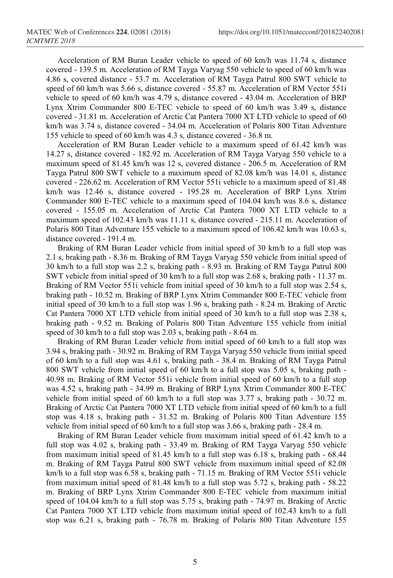Acceleration of RM Buran Leader vehicle to speed of 60 km/h was 11.74 s, distance covered - 139.5 m. Acceleration of RM Tayga Varyag 550 vehicle to speed of 60 km/h was 4.86 s, covered distance - 53.7 m. Acceleration of RM Tayga Patrul 800 SWT vehicle to speed of 60 km/h was 5.66 s, distance covered - 55.87 m. Acceleration of RM Vector 551i vehicle to speed of 60 km/h was 4.79 s, distance covered - 43.04 m. Acceleration of BRP Lynx Xtrim Commander 800 E-TEC vehicle to speed of 60 km/h was 3.49 s, distance covered - 31.81 m. Acceleration of Arctic Cat Pantera 7000 XT LTD vehicle to speed of 60 km/h was 3.74 s, distance covered - 34.04 m. Acceleration of Polaris 800 Titan Adventure 155 vehicle to speed of 60 km/h was 4.3 s, distance covered - 36.8 m.

Acceleration of RM Buran Leader vehicle to a maximum speed of 61.42 km/h was 14.27 s, distance covered - 182.92 m. Acceleration of RM Tayga Varyag 550 vehicle to a maximum speed of 81.45 km/h was 12 s, covered distance - 206.5 m. Acceleration of RM Tayga Patrul 800 SWT vehicle to a maximum speed of 82.08 km/h was 14.01 s, distance covered - 226.62 m. Acceleration of RM Vector 551i vehicle to a maximum speed of 81.48 km/h was 12.46 s, distance covered - 195.28 m. Acceleration of BRP Lynx Xtrim Commander 800 E-TEC vehicle to a maximum speed of 104.04 km/h was 8.6 s, distance covered - 155.05 m. Acceleration of Arctic Cat Pantera 7000 XT LTD vehicle to a maximum speed of 102.43 km/h was 11.11 s, distance covered - 215.11 m. Acceleration of Polaris 800 Titan Adventure 155 vehicle to a maximum speed of 106.42 km/h was 10.63 s, distance covered - 191.4 m.

Braking of RM Buran Leader vehicle from initial speed of 30 km/h to a full stop was 2.1 s, braking path - 8.36 m. Braking of RM Tayga Varyag 550 vehicle from initial speed of 30 km/h to a full stop was 2.2 s, braking path - 8.93 m. Braking of RM Tayga Patrul 800 SWT vehicle from initial speed of 30 km/h to a full stop was 2.68 s, braking path - 11.37 m. Braking of RM Vector 551i vehicle from initial speed of 30 km/h to a full stop was 2.54 s, braking path - 10.52 m. Braking of BRP Lynx Xtrim Commander 800 E-TEC vehicle from initial speed of 30 km/h to a full stop was 1.96 s, braking path - 8.24 m. Braking of Arctic Cat Pantera 7000 XT LTD vehicle from initial speed of 30 km/h to a full stop was 2.38 s, braking path - 9.52 m. Braking of Polaris 800 Titan Adventure 155 vehicle from initial speed of 30 km/h to a full stop was 2.03 s, braking path - 8.64 m.

Braking of RM Buran Leader vehicle from initial speed of 60 km/h to a full stop was 3.94 s, braking path - 30.92 m. Braking of RM Tayga Varyag 550 vehicle from initial speed of 60 km/h to a full stop was 4.61 s, braking path - 38.4 m. Braking of RM Tayga Patrul 800 SWT vehicle from initial speed of 60 km/h to a full stop was 5.05 s, braking path - 40.98 m. Braking of RM Vector 551i vehicle from initial speed of 60 km/h to a full stop was 4.52 s, braking path - 34.99 m. Braking of BRP Lynx Xtrim Commander 800 E-TEC vehicle from initial speed of 60 km/h to a full stop was 3.77 s, braking path - 30.72 m. Braking of Arctic Cat Pantera 7000 XT LTD vehicle from initial speed of 60 km/h to a full stop was 4.18 s, braking path - 31.52 m. Braking of Polaris 800 Titan Adventure 155 vehicle from initial speed of 60 km/h to a full stop was 3.66 s, braking path - 28.4 m.

Braking of RM Buran Leader vehicle from maximum initial speed of 61.42 km/h to a full stop was 4.02 s, braking path - 33.49 m. Braking of RM Tayga Varyag 550 vehicle from maximum initial speed of 81.45 km/h to a full stop was 6.18 s, braking path - 68.44 m. Braking of RM Tayga Patrul 800 SWT vehicle from maximum initial speed of 82.08 km/h to a full stop was 6.58 s, braking path - 71.15 m. Braking of RM Vector 551i vehicle from maximum initial speed of 81.48 km/h to a full stop was 5.72 s, braking path - 58.22 m. Braking of BRP Lynx Xtrim Commander 800 E-TEC vehicle from maximum initial speed of 104.04 km/h to a full stop was 5.75 s, braking path - 74.97 m. Braking of Arctic Cat Pantera 7000 XT LTD vehicle from maximum initial speed of 102.43 km/h to a full stop was 6.21 s, braking path - 76.78 m. Braking of Polaris 800 Titan Adventure 155